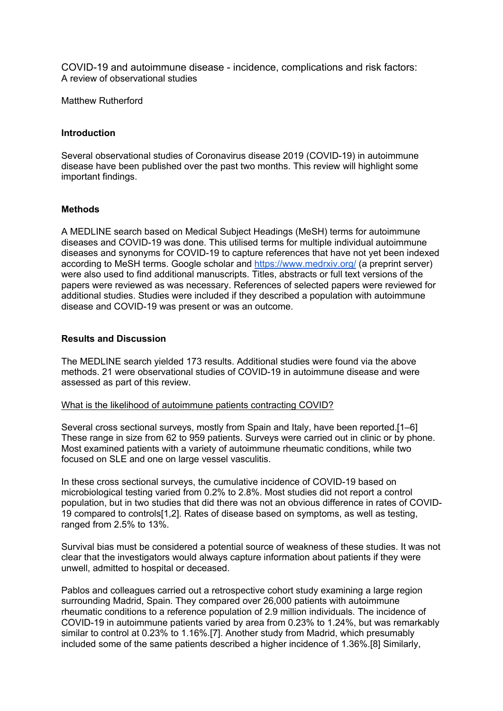COVID-19 and autoimmune disease - incidence, complications and risk factors: A review of observational studies

Matthew Rutherford

#### **Introduction**

Several observational studies of Coronavirus disease 2019 (COVID-19) in autoimmune disease have been published over the past two months. This review will highlight some important findings.

## **Methods**

A MEDLINE search based on Medical Subject Headings (MeSH) terms for autoimmune diseases and COVID-19 was done. This utilised terms for multiple individual autoimmune diseases and synonyms for COVID-19 to capture references that have not yet been indexed according to MeSH terms. Google scholar and https://www.medrxiv.org/ (a preprint server) were also used to find additional manuscripts. Titles, abstracts or full text versions of the papers were reviewed as was necessary. References of selected papers were reviewed for additional studies. Studies were included if they described a population with autoimmune disease and COVID-19 was present or was an outcome.

## **Results and Discussion**

The MEDLINE search yielded 173 results. Additional studies were found via the above methods. 21 were observational studies of COVID-19 in autoimmune disease and were assessed as part of this review.

#### What is the likelihood of autoimmune patients contracting COVID?

Several cross sectional surveys, mostly from Spain and Italy, have been reported.[1–6] These range in size from 62 to 959 patients. Surveys were carried out in clinic or by phone. Most examined patients with a variety of autoimmune rheumatic conditions, while two focused on SLE and one on large vessel vasculitis.

In these cross sectional surveys, the cumulative incidence of COVID-19 based on microbiological testing varied from 0.2% to 2.8%. Most studies did not report a control population, but in two studies that did there was not an obvious difference in rates of COVID-19 compared to controls[1,2]. Rates of disease based on symptoms, as well as testing, ranged from 2.5% to 13%.

Survival bias must be considered a potential source of weakness of these studies. It was not clear that the investigators would always capture information about patients if they were unwell, admitted to hospital or deceased.

Pablos and colleagues carried out a retrospective cohort study examining a large region surrounding Madrid, Spain. They compared over 26,000 patients with autoimmune rheumatic conditions to a reference population of 2.9 million individuals. The incidence of COVID-19 in autoimmune patients varied by area from 0.23% to 1.24%, but was remarkably similar to control at 0.23% to 1.16%.[7]. Another study from Madrid, which presumably included some of the same patients described a higher incidence of 1.36%.[8] Similarly,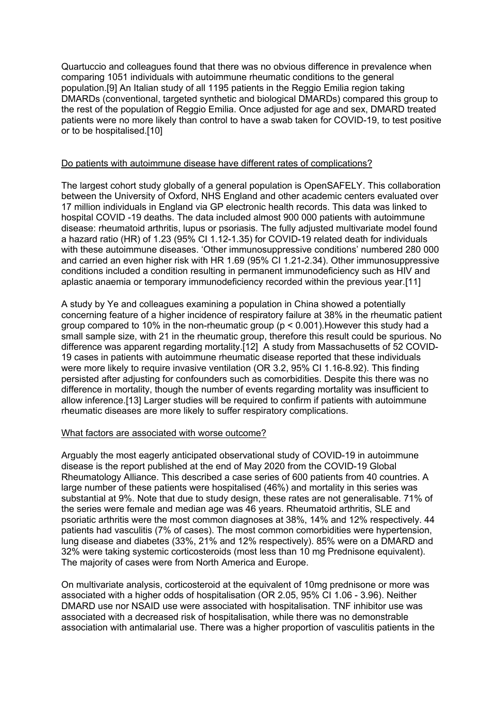Quartuccio and colleagues found that there was no obvious difference in prevalence when comparing 1051 individuals with autoimmune rheumatic conditions to the general population.[9] An Italian study of all 1195 patients in the Reggio Emilia region taking DMARDs (conventional, targeted synthetic and biological DMARDs) compared this group to the rest of the population of Reggio Emilia. Once adjusted for age and sex, DMARD treated patients were no more likely than control to have a swab taken for COVID-19, to test positive or to be hospitalised.[10]

## Do patients with autoimmune disease have different rates of complications?

The largest cohort study globally of a general population is OpenSAFELY. This collaboration between the University of Oxford, NHS England and other academic centers evaluated over 17 million individuals in England via GP electronic health records. This data was linked to hospital COVID -19 deaths. The data included almost 900 000 patients with autoimmune disease: rheumatoid arthritis, lupus or psoriasis. The fully adjusted multivariate model found a hazard ratio (HR) of 1.23 (95% CI 1.12-1.35) for COVID-19 related death for individuals with these autoimmune diseases. 'Other immunosuppressive conditions' numbered 280 000 and carried an even higher risk with HR 1.69 (95% CI 1.21-2.34). Other immunosuppressive conditions included a condition resulting in permanent immunodeficiency such as HIV and aplastic anaemia or temporary immunodeficiency recorded within the previous year.[11]

A study by Ye and colleagues examining a population in China showed a potentially concerning feature of a higher incidence of respiratory failure at 38% in the rheumatic patient group compared to 10% in the non-rheumatic group ( $p < 0.001$ ). However this study had a small sample size, with 21 in the rheumatic group, therefore this result could be spurious. No difference was apparent regarding mortality.[12] A study from Massachusetts of 52 COVID-19 cases in patients with autoimmune rheumatic disease reported that these individuals were more likely to require invasive ventilation (OR 3.2, 95% CI 1.16-8.92). This finding persisted after adjusting for confounders such as comorbidities. Despite this there was no difference in mortality, though the number of events regarding mortality was insufficient to allow inference.[13] Larger studies will be required to confirm if patients with autoimmune rheumatic diseases are more likely to suffer respiratory complications.

#### What factors are associated with worse outcome?

Arguably the most eagerly anticipated observational study of COVID-19 in autoimmune disease is the report published at the end of May 2020 from the COVID-19 Global Rheumatology Alliance. This described a case series of 600 patients from 40 countries. A large number of these patients were hospitalised (46%) and mortality in this series was substantial at 9%. Note that due to study design, these rates are not generalisable. 71% of the series were female and median age was 46 years. Rheumatoid arthritis, SLE and psoriatic arthritis were the most common diagnoses at 38%, 14% and 12% respectively. 44 patients had vasculitis (7% of cases). The most common comorbidities were hypertension, lung disease and diabetes (33%, 21% and 12% respectively). 85% were on a DMARD and 32% were taking systemic corticosteroids (most less than 10 mg Prednisone equivalent). The majority of cases were from North America and Europe.

On multivariate analysis, corticosteroid at the equivalent of 10mg prednisone or more was associated with a higher odds of hospitalisation (OR 2.05, 95% CI 1.06 - 3.96). Neither DMARD use nor NSAID use were associated with hospitalisation. TNF inhibitor use was associated with a decreased risk of hospitalisation, while there was no demonstrable association with antimalarial use. There was a higher proportion of vasculitis patients in the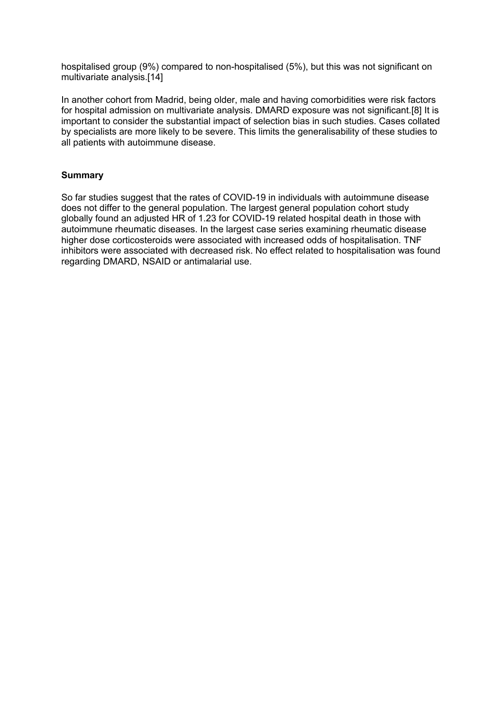hospitalised group (9%) compared to non-hospitalised (5%), but this was not significant on multivariate analysis.[14]

In another cohort from Madrid, being older, male and having comorbidities were risk factors for hospital admission on multivariate analysis. DMARD exposure was not significant.[8] It is important to consider the substantial impact of selection bias in such studies. Cases collated by specialists are more likely to be severe. This limits the generalisability of these studies to all patients with autoimmune disease.

# **Summary**

So far studies suggest that the rates of COVID-19 in individuals with autoimmune disease does not differ to the general population. The largest general population cohort study globally found an adjusted HR of 1.23 for COVID-19 related hospital death in those with autoimmune rheumatic diseases. In the largest case series examining rheumatic disease higher dose corticosteroids were associated with increased odds of hospitalisation. TNF inhibitors were associated with decreased risk. No effect related to hospitalisation was found regarding DMARD, NSAID or antimalarial use.